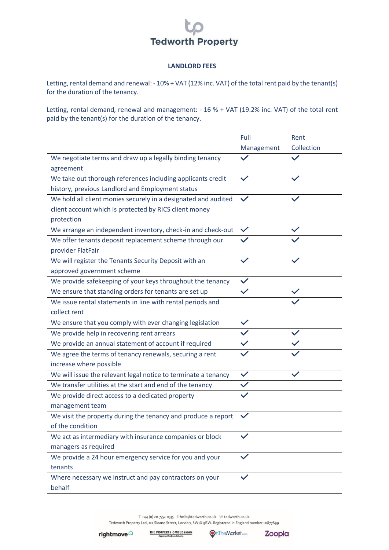## **Tedworth Property**

## **LANDLORD FEES**

Letting, rental demand and renewal: - 10% + VAT (12% inc. VAT) of the total rent paid by the tenant(s) for the duration of the tenancy.

Letting, rental demand, renewal and management: - 16 % + VAT (19.2% inc. VAT) of the total rent paid by the tenant(s) for the duration of the tenancy.

|                                                                | Full         | Rent         |
|----------------------------------------------------------------|--------------|--------------|
|                                                                | Management   | Collection   |
| We negotiate terms and draw up a legally binding tenancy       | $\checkmark$ |              |
| agreement                                                      |              |              |
| We take out thorough references including applicants credit    | $\checkmark$ |              |
| history, previous Landlord and Employment status               |              |              |
| We hold all client monies securely in a designated and audited | $\checkmark$ |              |
| client account which is protected by RICS client money         |              |              |
| protection                                                     |              |              |
| We arrange an independent inventory, check-in and check-out    | $\checkmark$ | $\checkmark$ |
| We offer tenants deposit replacement scheme through our        |              |              |
| provider FlatFair                                              |              |              |
| We will register the Tenants Security Deposit with an          | $\checkmark$ |              |
| approved government scheme                                     |              |              |
| We provide safekeeping of your keys throughout the tenancy     | $\checkmark$ |              |
| We ensure that standing orders for tenants are set up          |              | $\checkmark$ |
| We issue rental statements in line with rental periods and     |              |              |
| collect rent                                                   |              |              |
| We ensure that you comply with ever changing legislation       | $\checkmark$ |              |
| We provide help in recovering rent arrears                     | $\checkmark$ |              |
| We provide an annual statement of account if required          | $\checkmark$ |              |
| We agree the terms of tenancy renewals, securing a rent        | $\checkmark$ |              |
| increase where possible                                        |              |              |
| We will issue the relevant legal notice to terminate a tenancy | $\checkmark$ | $\checkmark$ |
| We transfer utilities at the start and end of the tenancy      | $\checkmark$ |              |
| We provide direct access to a dedicated property               |              |              |
| management team                                                |              |              |
| We visit the property during the tenancy and produce a report  |              |              |
| of the condition                                               |              |              |
| We act as intermediary with insurance companies or block       | $\checkmark$ |              |
| managers as required                                           |              |              |
| We provide a 24 hour emergency service for you and your        | $\checkmark$ |              |
| tenants                                                        |              |              |
| Where necessary we instruct and pay contractors on your        | $\checkmark$ |              |
| behalf                                                         |              |              |

T +44 (0) 20 7352 0535 E hello@tedworth.co.uk W tedworth.co.uk Tedworth Property Ltd, 121 Sloane Street, London, SW1X 9BW. Registered in England number 10877899

**THE PROPERTY OMBUDSMAN**